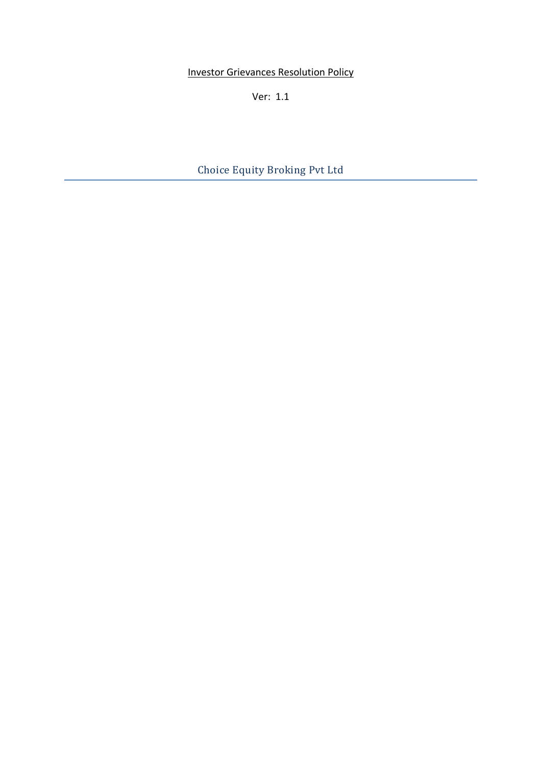**Investor Grievances Resolution Policy** 

Ver: 1.1

Choice Equity Broking Pvt Ltd